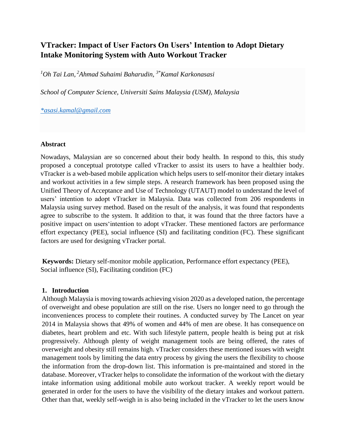# **VTracker: Impact of User Factors On Users' Intention to Adopt Dietary Intake Monitoring System with Auto Workout Tracker**

*<sup>1</sup>Oh Tai Lan, <sup>2</sup>Ahmad Suhaimi Baharudin, 3\*Kamal Karkonasasi*

*School of Computer Science, Universiti Sains Malaysia (USM), Malaysia*

*[\\*asasi.kamal@gmail.com](mailto:*asasi.kamal@gmail.com)*

#### **Abstract**

Nowadays, Malaysian are so concerned about their body health. In respond to this, this study proposed a conceptual prototype called vTracker to assist its users to have a healthier body. vTracker is a web-based mobile application which helps users to self-monitor their dietary intakes and workout activities in a few simple steps. A research framework has been proposed using the Unified Theory of Acceptance and Use of Technology (UTAUT) model to understand the level of users' intention to adopt vTracker in Malaysia. Data was collected from 206 respondents in Malaysia using survey method. Based on the result of the analysis, it was found that respondents agree to subscribe to the system. It addition to that, it was found that the three factors have a positive impact on users'intention to adopt vTracker. These mentioned factors are performance effort expectancy (PEE), social influence (SI) and facilitating condition (FC). These significant factors are used for designing vTracker portal.

**Keywords:** Dietary self-monitor mobile application, Performance effort expectancy (PEE), Social influence (SI), Facilitating condition (FC)

#### **1. Introduction**

Although Malaysia is moving towards achieving vision 2020 as a developed nation, the percentage of overweight and obese population are still on the rise. Users no longer need to go through the inconveniences process to complete their routines. A conducted survey by The Lancet on year 2014 in Malaysia shows that 49% of women and 44% of men are obese. It has consequence on diabetes, heart problem and etc. With such lifestyle pattern, people health is being put at risk progressively. Although plenty of weight management tools are being offered, the rates of overweight and obesity still remains high. vTracker considers these mentioned issues with weight management tools by limiting the data entry process by giving the users the flexibility to choose the information from the drop-down list. This information is pre-maintained and stored in the database. Moreover, vTracker helps to consolidate the information of the workout with the dietary intake information using additional mobile auto workout tracker. A weekly report would be generated in order for the users to have the visibility of the dietary intakes and workout pattern. Other than that, weekly self-weigh in is also being included in the vTracker to let the users know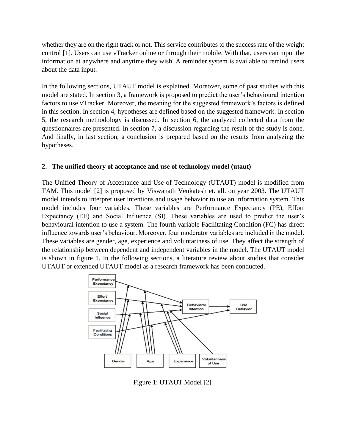whether they are on the right track or not. This service contributes to the success rate of the weight control [1]. Users can use vTracker online or through their mobile. With that, users can input the information at anywhere and anytime they wish. A reminder system is available to remind users about the data input.

In the following sections, UTAUT model is explained. Moreover, some of past studies with this model are stated. In section 3, a framework is proposed to predict the user's behavioural intention factors to use vTracker. Moreover, the meaning for the suggested framework's factors is defined in this section. In section 4, hypotheses are defined based on the suggested framework. In section 5, the research methodology is discussed. In section 6, the analyzed collected data from the questionnaires are presented. In section 7, a discussion regarding the result of the study is done. And finally, in last section, a conclusion is prepared based on the results from analyzing the hypotheses.

# **2. The unified theory of acceptance and use of technology model (utaut)**

The Unified Theory of Acceptance and Use of Technology (UTAUT) model is modified from TAM. This model [2] is proposed by Viswanath Venkatesh et. all. on year 2003. The UTAUT model intends to interpret user intentions and usage behavior to use an information system. This model includes four variables. These variables are Performance Expectancy (PE), Effort Expectancy (EE) and Social Influence (SI). These variables are used to predict the user's behavioural intention to use a system. The fourth variable Facilitating Condition (FC) has direct influence towards user's behaviour. Moreover, four moderator variables are included in the model. These variables are gender, age, experience and voluntariness of use. They affect the strength of the relationship between dependent and independent variables in the model. The UTAUT model is shown in figure 1. In the following sections, a literature review about studies that consider UTAUT or extended UTAUT model as a research framework has been conducted.



Figure 1: UTAUT Model [2]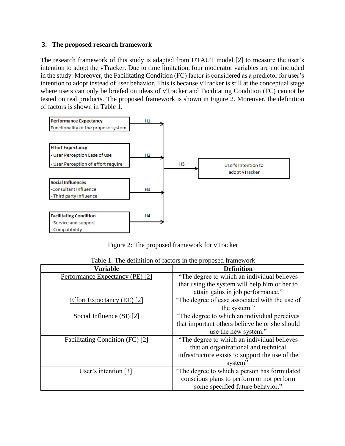### **3. The proposed research framework**

The research framework of this study is adapted from UTAUT model [2] to measure the user's intention to adopt the vTracker. Due to time limitation, four moderator variables are not included in the study. Moreover, the Facilitating Condition (FC) factor is considered as a predictor for user's intention to adopt instead of user behavior. This is because vTracker is still at the conceptual stage where users can only be briefed on ideas of vTracker and Facilitating Condition (FC) cannot be tested on real products. The proposed framework is shown in Figure 2. Moreover, the definition of factors is shown in Table 1.



Figure 2: The proposed framework for vTracker

| <b>Variable</b>                 | <b>Definition</b>                               |  |  |
|---------------------------------|-------------------------------------------------|--|--|
| Performance Expectancy (PE) [2] | "The degree to which an individual believes"    |  |  |
|                                 | that using the system will help him or her to   |  |  |
|                                 | attain gains in job performance."               |  |  |
| Effort Expectancy (EE) [2]      | "The degree of ease associated with the use of  |  |  |
|                                 | the system."                                    |  |  |
| Social Influence (SI) [2]       | "The degree to which an individual perceives    |  |  |
|                                 | that important others believe he or she should  |  |  |
|                                 | use the new system."                            |  |  |
| Facilitating Condition (FC) [2] | "The degree to which an individual believes     |  |  |
|                                 | that an organizational and technical            |  |  |
|                                 | infrastructure exists to support the use of the |  |  |
|                                 | system".                                        |  |  |
| User's intention $[3]$          | "The degree to which a person has formulated    |  |  |
|                                 | conscious plans to perform or not perform       |  |  |
|                                 | some specified future behavior."                |  |  |

Table 1. The definition of factors in the proposed framework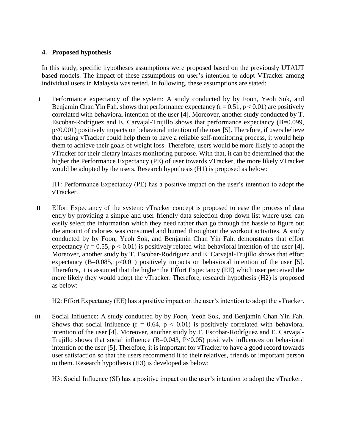# **4. Proposed hypothesis**

In this study, specific hypotheses assumptions were proposed based on the previously UTAUT based models. The impact of these assumptions on user's intention to adopt VTracker among individual users in Malaysia was tested. In following, these assumptions are stated:

I. Performance expectancy of the system: A study conducted by by Foon, Yeoh Sok, and Benjamin Chan Yin Fah. shows that performance expectancy  $(r = 0.51, p < 0.01)$  are positively correlated with behavioral intention of the user [4]. Moreover, another study conducted by T. Escobar-Rodríguez and E. Carvajal-Trujillo shows that performance expectancy (B=0.099, p<0.001) positively impacts on behavioral intention of the user [5]. Therefore, if users believe that using vTracker could help them to have a reliable self-monitoring process, it would help them to achieve their goals of weight loss. Therefore, users would be more likely to adopt the vTracker for their dietary intakes monitoring purpose. With that, it can be determined that the higher the Performance Expectancy (PE) of user towards vTracker, the more likely vTracker would be adopted by the users. Research hypothesis (H1) is proposed as below:

H1: Performance Expectancy (PE) has a positive impact on the user's intention to adopt the vTracker.

II. Effort Expectancy of the system: vTracker concept is proposed to ease the process of data entry by providing a simple and user friendly data selection drop down list where user can easily select the information which they need rather than go through the hassle to figure out the amount of calories was consumed and burned throughout the workout activities. A study conducted by by Foon, Yeoh Sok, and Benjamin Chan Yin Fah. demonstrates that effort expectancy ( $r = 0.55$ ,  $p < 0.01$ ) is positively related with behavioral intention of the user [4]. Moreover, another study by T. Escobar-Rodríguez and E. Carvajal-Trujillo shows that effort expectancy (B=0.085, p<0.01) positively impacts on behavioral intention of the user [5]. Therefore, it is assumed that the higher the Effort Expectancy (EE) which user perceived the more likely they would adopt the vTracker. Therefore, research hypothesis (H2) is proposed as below:

H2: Effort Expectancy (EE) has a positive impact on the user's intention to adopt the vTracker.

III. Social Influence: A study conducted by by Foon, Yeoh Sok, and Benjamin Chan Yin Fah. Shows that social influence  $(r = 0.64, p < 0.01)$  is positively correlated with behavioral intention of the user [4]. Moreover, another study by T. Escobar-Rodríguez and E. Carvajal-Trujillo shows that social influence  $(B=0.043, P<0.05)$  positively influences on behavioral intention of the user [5]. Therefore, it is important for vTracker to have a good record towards user satisfaction so that the users recommend it to their relatives, friends or important person to them. Research hypothesis (H3) is developed as below:

H3: Social Influence (SI) has a positive impact on the user's intention to adopt the vTracker.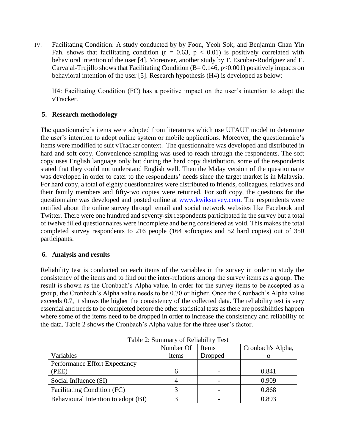IV. Facilitating Condition: A study conducted by by Foon, Yeoh Sok, and Benjamin Chan Yin Fah. shows that facilitating condition ( $r = 0.63$ ,  $p < 0.01$ ) is positively correlated with behavioral intention of the user [4]. Moreover, another study by T. Escobar-Rodríguez and E. Carvajal-Trujillo shows that Facilitating Condition (B=  $0.146$ , p<0.001) positively impacts on behavioral intention of the user [5]. Research hypothesis (H4) is developed as below:

H4: Facilitating Condition (FC) has a positive impact on the user's intention to adopt the vTracker.

# **5. Research methodology**

The questionnaire's items were adopted from literatures which use UTAUT model to determine the user's intention to adopt online system or mobile applications. Moreover, the questionnaire's items were modified to suit vTracker context. The questionnaire was developed and distributed in hard and soft copy. Convenience sampling was used to reach through the respondents. The soft copy uses English language only but during the hard copy distribution, some of the respondents stated that they could not understand English well. Then the Malay version of the questionnaire was developed in order to cater to the respondents' needs since the target market is in Malaysia. For hard copy, a total of eighty questionnaires were distributed to friends, colleagues, relatives and their family members and fifty-two copies were returned. For soft copy, the questions for the questionnaire was developed and posted online at www.kwiksurvey.com. The respondents were notified about the online survey through email and social network websites like Facebook and Twitter. There were one hundred and seventy-six respondents participated in the survey but a total of twelve filled questionnaires were incomplete and being considered as void. This makes the total completed survey respondents to 216 people (164 softcopies and 52 hard copies) out of 350 participants.

# **6. Analysis and results**

Reliability test is conducted on each items of the variables in the survey in order to study the consistency of the items and to find out the inter-relations among the survey items as a group. The result is shown as the Cronbach's Alpha value. In order for the survey items to be accepted as a group, the Cronbach's Alpha value needs to be 0.70 or higher. Once the Cronbach's Alpha value exceeds 0.7, it shows the higher the consistency of the collected data. The reliability test is very essential and needs to be completed before the other statistical tests as there are possibilities happen where some of the items need to be dropped in order to increase the consistency and reliability of the data. Table 2 shows the Cronbach's Alpha value for the three user's factor.

|                                     | Number Of | Items   | Cronbach's Alpha, |
|-------------------------------------|-----------|---------|-------------------|
| Variables                           | items     | Dropped | $\alpha$          |
| Performance Effort Expectancy       |           |         |                   |
| (PEE)                               | h         |         | 0.841             |
| Social Influence (SI)               |           |         | 0.909             |
| <b>Facilitating Condition (FC)</b>  |           |         | 0.868             |
| Behavioural Intention to adopt (BI) |           |         | 0.893             |

Table 2: Summary of Reliability Test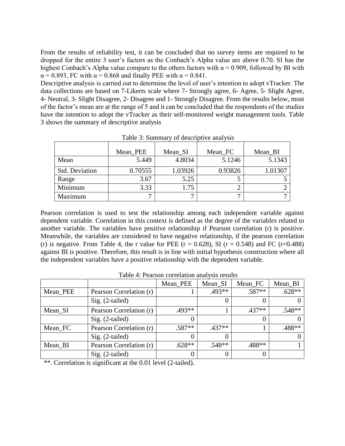From the results of reliability test, it can be concluded that no survey items are required to be dropped for the entire 3 user's factors as the Conbach's Alpha value are above 0.70. SI has the highest Conbach's Alpha value compare to the others factors with  $\alpha = 0.909$ , followed by BI with  $\alpha$  = 0.893, FC with  $\alpha$  = 0.868 and finally PEE with  $\alpha$  = 0.841.

Descriptive analysis is carried out to determine the level of user's intention to adopt vTracker. The data collections are based on 7-Likerts scale where 7- Strongly agree, 6- Agree, 5- Slight Agree, 4- Neutral, 3- Slight Disagree, 2- Disagree and 1- Strongly Disagree. From the results below, most of the factor's mean are at the range of 5 and it can be concluded that the respondents of the studies have the intention to adopt the vTracker as their self-monitored weight management tools. Table 3 shows the summary of descriptive analysis

|                       | Mean PEE | Mean_SI | Mean <sub>FC</sub> | Mean_BI |
|-----------------------|----------|---------|--------------------|---------|
| Mean                  | 5.449    | 4.8034  | 5.1246             | 5.1343  |
| <b>Std. Deviation</b> | 0.70555  | 1.03926 | 0.93826            | 1.01307 |
| Range                 | 3.67     | 5.25    |                    |         |
| Minimum               | 3.33     | 1.75    |                    |         |
| Maximum               |          |         |                    |         |

Table 3: Summary of descriptive analysis

Pearson correlation is used to test the relationship among each independent variable against dependent variable. Correlation in this context is defined as the degree of the variables related to another variable. The variables have positive relationship if Pearson correlation (r) is positive. Meanwhile, the variables are considered to have negative relationship, if the pearson correlation (r) is negative. From Table 4, the r value for PEE ( $r = 0.628$ ), SI ( $r = 0.548$ ) and FC ( $r = 0.488$ ) against BI is positive. Therefore, this result is in line with initial hypothesis construction where all the independent variables have a positive relationship with the dependent variable.

|          | Tuoit ", I tulboll tolltuuloil ullul jõlb l toulub |          |          |          |          |
|----------|----------------------------------------------------|----------|----------|----------|----------|
|          |                                                    | Mean_PEE | Mean SI  | Mean FC  | Mean BI  |
| Mean_PEE | Pearson Correlation (r)                            |          | $.493**$ | $.587**$ | $.628**$ |
|          | $Sig. (2-tailed)$                                  |          |          |          |          |
| Mean_SI  | Pearson Correlation (r)                            | $.493**$ |          | $.437**$ | $.548**$ |
|          | $Sig. (2-tailed)$                                  |          |          |          |          |
| Mean FC  | Pearson Correlation (r)                            | $.587**$ | $.437**$ |          | .488**   |
|          | $Sig. (2-tailed)$                                  |          |          |          |          |
| Mean_BI  | Pearson Correlation (r)                            | $.628**$ | $.548**$ | .488**   |          |
|          | $Sig. (2-tailed)$                                  |          |          |          |          |

Table 4: Pearson correlation analysis results

\*\*. Correlation is significant at the 0.01 level (2-tailed).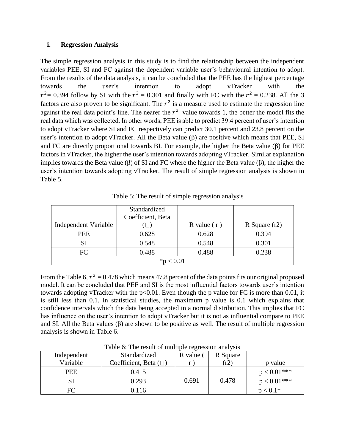# **i. Regression Analysis**

The simple regression analysis in this study is to find the relationship between the independent variables PEE, SI and FC against the dependent variable user's behavioural intention to adopt. From the results of the data analysis, it can be concluded that the PEE has the highest percentage towards the user's intention to adopt vTracker with the  $r^2$  = 0.394 follow by SI with the  $r^2$  = 0.301 and finally with FC with the  $r^2$  = 0.238. All the 3 factors are also proven to be significant. The  $r^2$  is a measure used to estimate the regression line against the real data point's line. The nearer the  $r^2$  value towards 1, the better the model fits the real data which was collected. In other words, PEE is able to predict 39.4 percent of user's intention to adopt vTracker where SI and FC respectively can predict 30.1 percent and 23.8 percent on the user's intention to adopt vTracker. All the Beta value  $(\beta)$  are positive which means that PEE, SI and FC are directly proportional towards BI. For example, the higher the Beta value (β) for PEE factors in vTracker, the higher the user's intention towards adopting vTracker. Similar explanation implies towards the Beta value (β) of SI and FC where the higher the Beta value (β), the higher the user's intention towards adopting vTracker. The result of simple regression analysis is shown in Table 5.

|                      | Standardized<br>Coefficient, Beta |               |                 |  |
|----------------------|-----------------------------------|---------------|-----------------|--|
| Independent Variable |                                   | R value $(r)$ | R Square $(r2)$ |  |
| PEE                  | 0.628                             | 0.628         | 0.394           |  |
| SI                   | 0.548                             |               | 0.301           |  |
| FC                   | 0.488                             | 0.488         | 0.238           |  |
| * $p < 0.01$         |                                   |               |                 |  |

Table 5: The result of simple regression analysis

From the Table 6,  $r^2 = 0.478$  which means 47.8 percent of the data points fits our original proposed model. It can be concluded that PEE and SI is the most influential factors towards user's intention towards adopting vTracker with the p<0.01. Even though the p value for FC is more than 0.01, it is still less than 0.1. In statistical studies, the maximum p value is 0.1 which explains that confidence intervals which the data being accepted in a normal distribution. This implies that FC has influence on the user's intention to adopt vTracker but it is not as influential compare to PEE and SI. All the Beta values  $(\beta)$  are shown to be positive as well. The result of multiple regression analysis is shown in Table 6.

| Independent | Standardized                  | R value ( | R Square |               |
|-------------|-------------------------------|-----------|----------|---------------|
| Variable    | Coefficient, Beta $(\square)$ |           | (r2)     | p value       |
| PEE         | 0.415                         |           |          | $p < 0.01***$ |
| <b>SI</b>   | 0.293                         | 0.691     | 0.478    | $p < 0.01***$ |
| FC          | 0.116                         |           |          | $p < 0.1*$    |

Table 6: The result of multiple regression analysis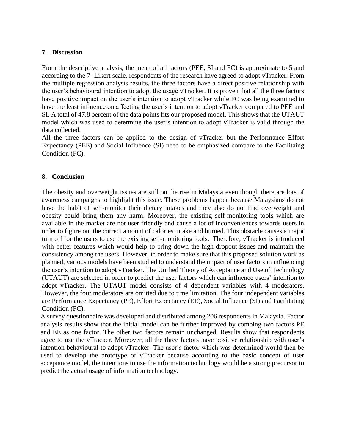### **7. Discussion**

From the descriptive analysis, the mean of all factors (PEE, SI and FC) is approximate to 5 and according to the 7- Likert scale, respondents of the research have agreed to adopt vTracker. From the multiple regression analysis results, the three factors have a direct positive relationship with the user's behavioural intention to adopt the usage vTracker. It is proven that all the three factors have positive impact on the user's intention to adopt vTracker while FC was being examined to have the least influence on affecting the user's intention to adopt vTracker compared to PEE and SI. A total of 47.8 percent of the data points fits our proposed model. This shows that the UTAUT model which was used to determine the user's intention to adopt vTracker is valid through the data collected.

All the three factors can be applied to the design of vTracker but the Performance Effort Expectancy (PEE) and Social Influence (SI) need to be emphasized compare to the Facilitaing Condition (FC).

# **8. Conclusion**

The obesity and overweight issues are still on the rise in Malaysia even though there are lots of awareness campaigns to highlight this issue. These problems happen because Malaysians do not have the habit of self-monitor their dietary intakes and they also do not find overweight and obesity could bring them any harm. Moreover, the existing self-monitoring tools which are available in the market are not user friendly and cause a lot of inconveniences towards users in order to figure out the correct amount of calories intake and burned. This obstacle causes a major turn off for the users to use the existing self-monitoring tools. Therefore, vTracker is introduced with better features which would help to bring down the high dropout issues and maintain the consistency among the users. However, in order to make sure that this proposed solution work as planned, various models have been studied to understand the impact of user factors in influencing the user's intention to adopt vTracker. The Unified Theory of Acceptance and Use of Technology (UTAUT) are selected in order to predict the user factors which can influence users' intention to adopt vTracker. The UTAUT model consists of 4 dependent variables with 4 moderators. However, the four moderators are omitted due to time limitation. The four independent variables are Performance Expectancy (PE), Effort Expectancy (EE), Social Influence (SI) and Facilitating Condition (FC).

A survey questionnaire was developed and distributed among 206 respondents in Malaysia. Factor analysis results show that the initial model can be further improved by combing two factors PE and EE as one factor. The other two factors remain unchanged. Results show that respondents agree to use the vTracker. Moreover, all the three factors have positive relationship with user's intention behavioural to adopt vTracker. The user's factor which was determined would then be used to develop the prototype of vTracker because according to the basic concept of user acceptance model, the intentions to use the information technology would be a strong precursor to predict the actual usage of information technology.